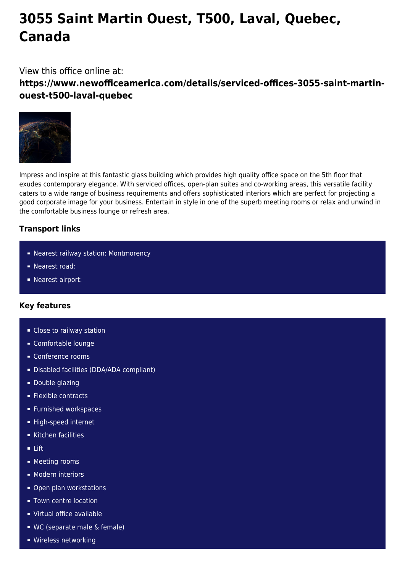# **3055 Saint Martin Ouest, T500, Laval, Quebec, Canada**

View this office online at:

**https://www.newofficeamerica.com/details/serviced-offices-3055-saint-martinouest-t500-laval-quebec**



Impress and inspire at this fantastic glass building which provides high quality office space on the 5th floor that exudes contemporary elegance. With serviced offices, open-plan suites and co-working areas, this versatile facility caters to a wide range of business requirements and offers sophisticated interiors which are perfect for projecting a good corporate image for your business. Entertain in style in one of the superb meeting rooms or relax and unwind in the comfortable business lounge or refresh area.

## **Transport links**

- Nearest railway station: Montmorency
- **Nearest road:**
- **Nearest airport:**

### **Key features**

- Close to railway station
- Comfortable lounge
- Conference rooms
- Disabled facilities (DDA/ADA compliant)
- **Double glazing**
- **Flexible contracts**
- **Furnished workspaces**
- High-speed internet
- Kitchen facilities
- Lift
- **Meeting rooms**
- **Modern interiors**
- Open plan workstations
- **Town centre location**
- Virtual office available
- WC (separate male & female)
- **Wireless networking**